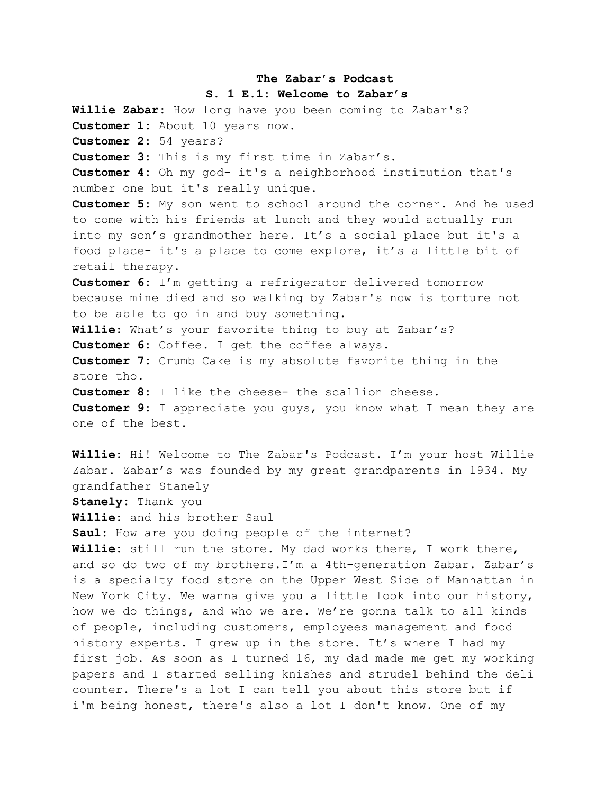## **The Zabar's Podcast**

## **S. 1 E.1: Welcome to Zabar's**

**Willie Zabar:** How long have you been coming to Zabar's? **Customer 1:** About 10 years now. **Customer 2:** 54 years? **Customer 3:** This is my first time in Zabar's. **Customer 4:** Oh my god- it's a neighborhood institution that's number one but it's really unique. **Customer 5:** My son went to school around the corner. And he used to come with his friends at lunch and they would actually run into my son's grandmother here. It's a social place but it's a food place- it's a place to come explore, it's a little bit of retail therapy. **Customer 6:** I'm getting a refrigerator delivered tomorrow because mine died and so walking by Zabar's now is torture not to be able to go in and buy something. **Willie**: What's your favorite thing to buy at Zabar's? **Customer 6:** Coffee. I get the coffee always. **Customer 7:** Crumb Cake is my absolute favorite thing in the store tho. **Customer 8:** I like the cheese- the scallion cheese. **Customer 9:** I appreciate you guys, you know what I mean they are one of the best.

**Willie:** Hi! Welcome to The Zabar's Podcast. I'm your host Willie Zabar. Zabar's was founded by my great grandparents in 1934. My grandfather Stanely

**Stanely:** Thank you

**Willie:** and his brother Saul

**Saul:** How are you doing people of the internet?

**Willie:** still run the store. My dad works there, I work there, and so do two of my brothers.I'm a 4th-generation Zabar. Zabar's is a specialty food store on the Upper West Side of Manhattan in New York City. We wanna give you a little look into our history, how we do things, and who we are. We're gonna talk to all kinds of people, including customers, employees management and food history experts. I grew up in the store. It's where I had my first job. As soon as I turned 16, my dad made me get my working papers and I started selling knishes and strudel behind the deli counter. There's a lot I can tell you about this store but if i'm being honest, there's also a lot I don't know. One of my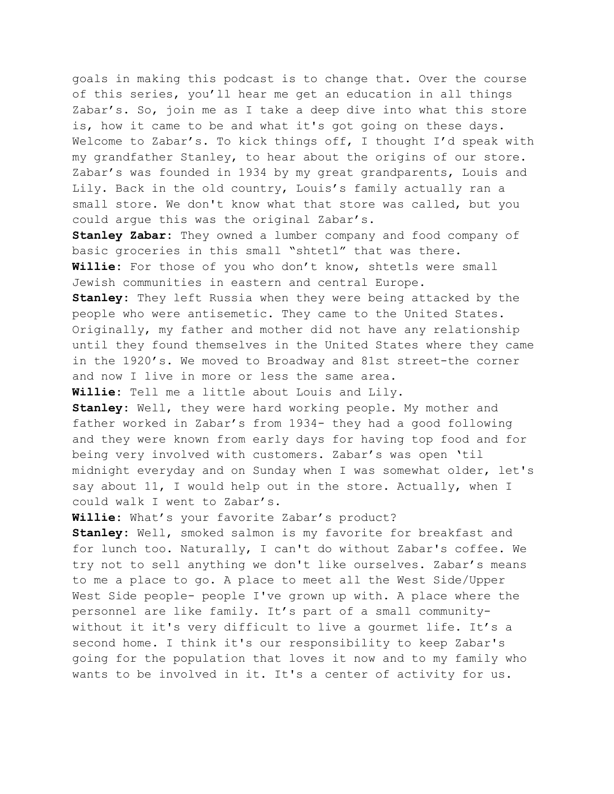goals in making this podcast is to change that. Over the course of this series, you'll hear me get an education in all things Zabar's. So, join me as I take a deep dive into what this store is, how it came to be and what it's got going on these days. Welcome to Zabar's. To kick things off, I thought I'd speak with my grandfather Stanley, to hear about the origins of our store. Zabar's was founded in 1934 by my great grandparents, Louis and Lily. Back in the old country, Louis's family actually ran a small store. We don't know what that store was called, but you could argue this was the original Zabar's.

**Stanley Zabar:** They owned a lumber company and food company of basic groceries in this small "shtetl" that was there. **Willie:** For those of you who don't know, shtetls were small Jewish communities in eastern and central Europe.

**Stanley:** They left Russia when they were being attacked by the people who were antisemetic. They came to the United States. Originally, my father and mother did not have any relationship until they found themselves in the United States where they came in the 1920's. We moved to Broadway and 81st street-the corner and now I live in more or less the same area.

**Willie:** Tell me a little about Louis and Lily.

**Stanley:** Well, they were hard working people. My mother and father worked in Zabar's from 1934- they had a good following and they were known from early days for having top food and for being very involved with customers. Zabar's was open 'til midnight everyday and on Sunday when I was somewhat older, let's say about 11, I would help out in the store. Actually, when I could walk I went to Zabar's.

**Willie:** What's your favorite Zabar's product?

**Stanley:** Well, smoked salmon is my favorite for breakfast and for lunch too. Naturally, I can't do without Zabar's coffee. We try not to sell anything we don't like ourselves. Zabar's means to me a place to go. A place to meet all the West Side/Upper West Side people- people I've grown up with. A place where the personnel are like family. It's part of a small communitywithout it it's very difficult to live a gourmet life. It's a second home. I think it's our responsibility to keep Zabar's going for the population that loves it now and to my family who wants to be involved in it. It's a center of activity for us.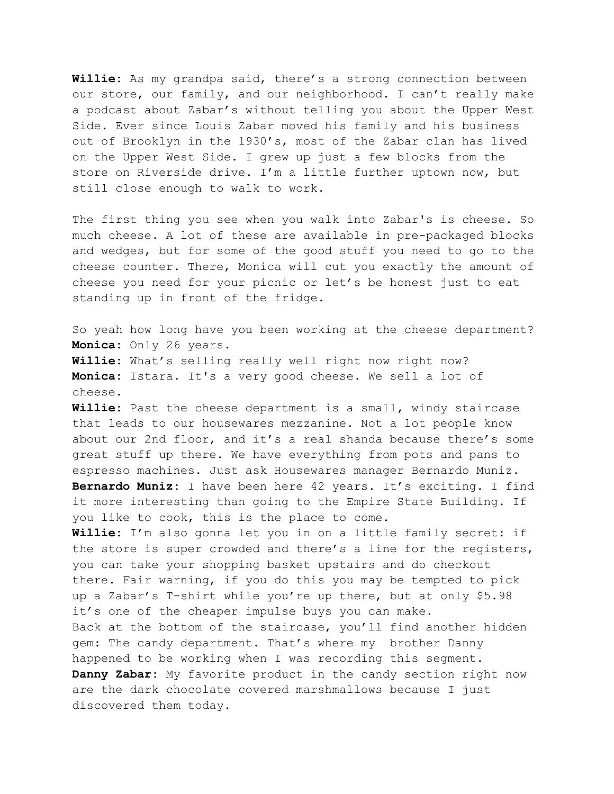**Willie:** As my grandpa said, there's a strong connection between our store, our family, and our neighborhood. I can't really make a podcast about Zabar's without telling you about the Upper West Side. Ever since Louis Zabar moved his family and his business out of Brooklyn in the 1930's, most of the Zabar clan has lived on the Upper West Side. I grew up just a few blocks from the store on Riverside drive. I'm a little further uptown now, but still close enough to walk to work.

The first thing you see when you walk into Zabar's is cheese. So much cheese. A lot of these are available in pre-packaged blocks and wedges, but for some of the good stuff you need to go to the cheese counter. There, Monica will cut you exactly the amount of cheese you need for your picnic or let's be honest just to eat standing up in front of the fridge.

So yeah how long have you been working at the cheese department? **Monica:** Only 26 years. **Willie:** What's selling really well right now right now? **Monica:** Istara. It's a very good cheese. We sell a lot of cheese.

**Willie:** Past the cheese department is a small, windy staircase that leads to our housewares mezzanine. Not a lot people know about our 2nd floor, and it's a real shanda because there's some great stuff up there. We have everything from pots and pans to espresso machines. Just ask Housewares manager Bernardo Muniz. **Bernardo Muniz:** I have been here 42 years. It's exciting. I find it more interesting than going to the Empire State Building. If you like to cook, this is the place to come.

**Willie:** I'm also gonna let you in on a little family secret: if the store is super crowded and there's a line for the registers, you can take your shopping basket upstairs and do checkout there. Fair warning, if you do this you may be tempted to pick up a Zabar's T-shirt while you're up there, but at only \$5.98 it's one of the cheaper impulse buys you can make. Back at the bottom of the staircase, you'll find another hidden gem: The candy department. That's where my brother Danny happened to be working when I was recording this segment. **Danny Zabar:** My favorite product in the candy section right now are the dark chocolate covered marshmallows because I just discovered them today.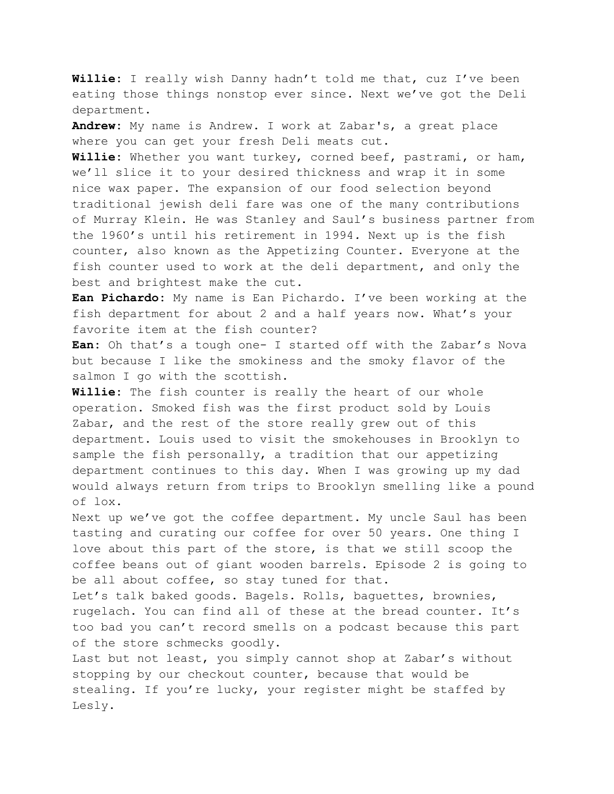**Willie:** I really wish Danny hadn't told me that, cuz I've been eating those things nonstop ever since. Next we've got the Deli department.

**Andrew:** My name is Andrew. I work at Zabar's, a great place where you can get your fresh Deli meats cut.

**Willie:** Whether you want turkey, corned beef, pastrami, or ham, we'll slice it to your desired thickness and wrap it in some nice wax paper. The expansion of our food selection beyond traditional jewish deli fare was one of the many contributions of Murray Klein. He was Stanley and Saul's business partner from the 1960's until his retirement in 1994*.* Next up is the fish counter, also known as the Appetizing Counter. Everyone at the fish counter used to work at the deli department, and only the best and brightest make the cut.

**Ean Pichardo:** My name is Ean Pichardo. I've been working at the fish department for about 2 and a half years now. What's your favorite item at the fish counter?

**Ean:** Oh that's a tough one- I started off with the Zabar's Nova but because I like the smokiness and the smoky flavor of the salmon I go with the scottish.

**Willie:** The fish counter is really the heart of our whole operation. Smoked fish was the first product sold by Louis Zabar, and the rest of the store really grew out of this department. Louis used to visit the smokehouses in Brooklyn to sample the fish personally, a tradition that our appetizing department continues to this day. When I was growing up my dad would always return from trips to Brooklyn smelling like a pound of lox.

Next up we've got the coffee department. My uncle Saul has been tasting and curating our coffee for over 50 years. One thing I love about this part of the store, is that we still scoop the coffee beans out of giant wooden barrels. Episode 2 is going to be all about coffee, so stay tuned for that.

Let's talk baked goods. Bagels. Rolls, baguettes, brownies, rugelach. You can find all of these at the bread counter. It's too bad you can't record smells on a podcast because this part of the store schmecks goodly.

Last but not least, you simply cannot shop at Zabar's without stopping by our checkout counter, because that would be stealing. If you're lucky, your register might be staffed by Lesly.